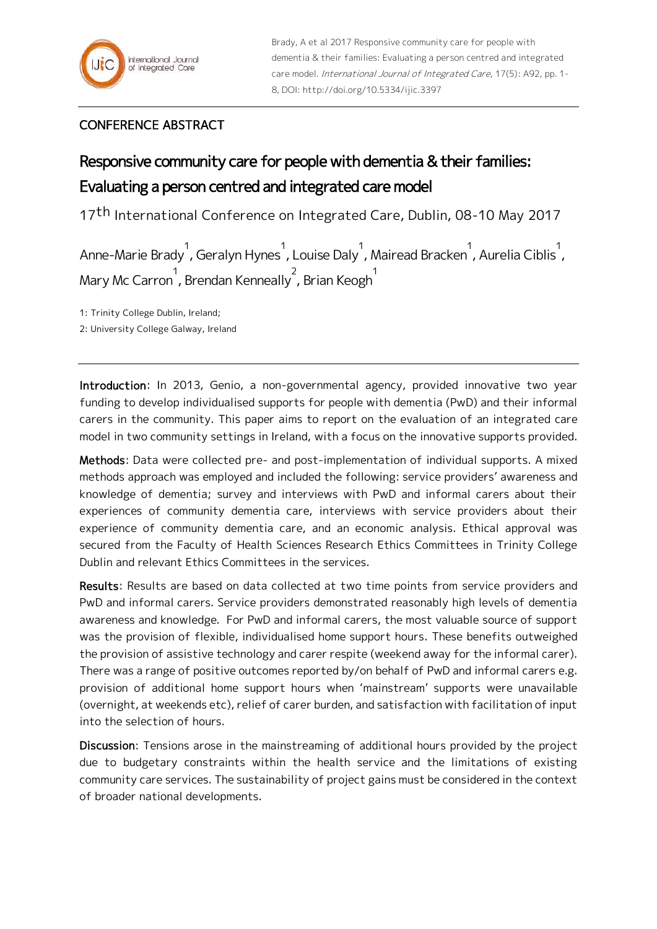## CONFERENCE ABSTRACT

## Responsive community care for people with dementia & their families: Evaluating a person centred and integrated care model

17<sup>th</sup> International Conference on Integrated Care, Dublin, 08-10 May 2017

Anne-Marie Brady<sup>1</sup>, Geralyn Hynes<sup>1</sup>, Louise Daly<sup>1</sup>, Mairead Bracken<sup>1</sup>, Aurelia Ciblis<sup>1</sup>, Mary Mc Carron 1 , Brendan Kenneally 2 , Brian Keogh 1

1: Trinity College Dublin, Ireland;

2: University College Galway, Ireland

Introduction: In 2013, Genio, a non-governmental agency, provided innovative two year funding to develop individualised supports for people with dementia (PwD) and their informal carers in the community. This paper aims to report on the evaluation of an integrated care model in two community settings in Ireland, with a focus on the innovative supports provided.

Methods: Data were collected pre- and post-implementation of individual supports. A mixed methods approach was employed and included the following: service providers' awareness and knowledge of dementia; survey and interviews with PwD and informal carers about their experiences of community dementia care, interviews with service providers about their experience of community dementia care, and an economic analysis. Ethical approval was secured from the Faculty of Health Sciences Research Ethics Committees in Trinity College Dublin and relevant Ethics Committees in the services.

Results: Results are based on data collected at two time points from service providers and PwD and informal carers. Service providers demonstrated reasonably high levels of dementia awareness and knowledge. For PwD and informal carers, the most valuable source of support was the provision of flexible, individualised home support hours. These benefits outweighed the provision of assistive technology and carer respite (weekend away for the informal carer). There was a range of positive outcomes reported by/on behalf of PwD and informal carers e.g. provision of additional home support hours when 'mainstream' supports were unavailable (overnight, at weekends etc), relief of carer burden, and satisfaction with facilitation of input into the selection of hours.

Discussion: Tensions arose in the mainstreaming of additional hours provided by the project due to budgetary constraints within the health service and the limitations of existing community care services. The sustainability of project gains must be considered in the context of broader national developments.